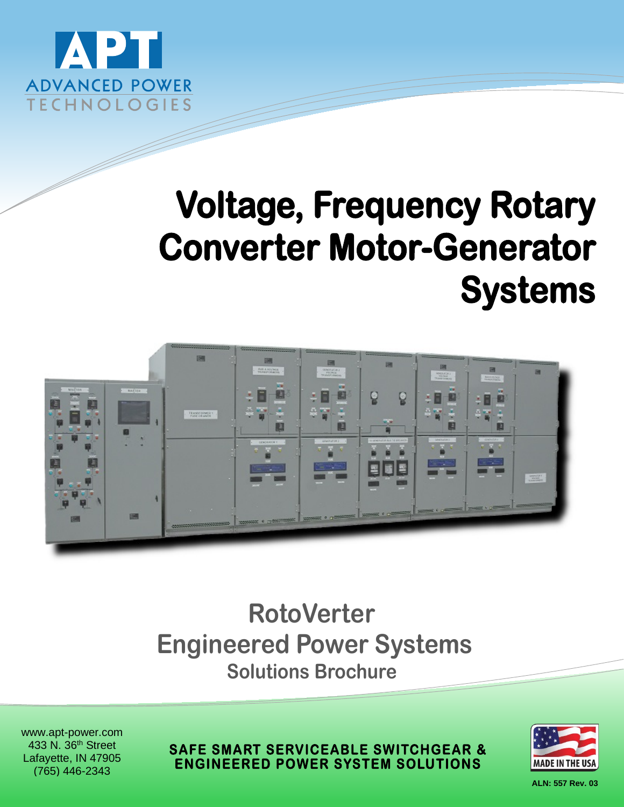

# **Voltage, Frequency Rotary Converter Motor-Generator Systems**



# **RotoVerter Engineered Power Systems Solutions Brochure**

www.apt-power.com 433 N. 36<sup>th</sup> Street Lafayette, IN 47905 (765) 446-2343

**SAFE SMART SERVICEABLE SWITCHGEAR & ENGINEERED POWER SYSTEM SOLUTIONS** 



**ALN: 557 Rev. 03**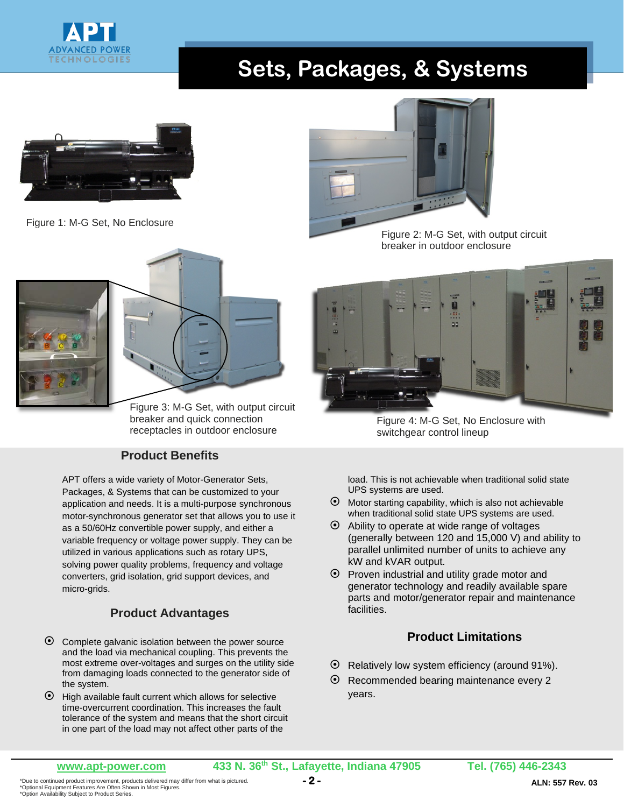

## **Sets, Packages, & Systems**



Figure 1: M-G Set, No Enclosure



Figure 3: M-G Set, with output circuit breaker and quick connection receptacles in outdoor enclosure

#### **Product Benefits**

APT offers a wide variety of Motor-Generator Sets, Packages, & Systems that can be customized to your application and needs. It is a multi-purpose synchronous motor-synchronous generator set that allows you to use it as a 50/60Hz convertible power supply, and either a variable frequency or voltage power supply. They can be utilized in various applications such as rotary UPS, solving power quality problems, frequency and voltage converters, grid isolation, grid support devices, and micro-grids.

#### **Product Advantages**

- Complete galvanic isolation between the power source and the load via mechanical coupling. This prevents the most extreme over-voltages and surges on the utility side from damaging loads connected to the generator side of the system.
- $\odot$  High available fault current which allows for selective time-overcurrent coordination. This increases the fault tolerance of the system and means that the short circuit in one part of the load may not affect other parts of the



Figure 2: M-G Set, with output circuit breaker in outdoor enclosure



Figure 4: M-G Set, No Enclosure with switchgear control lineup

load. This is not achievable when traditional solid state UPS systems are used.

- $\odot$  Motor starting capability, which is also not achievable when traditional solid state UPS systems are used.
- $\odot$  Ability to operate at wide range of voltages (generally between 120 and 15,000 V) and ability to parallel unlimited number of units to achieve any kW and kVAR output.
- $\odot$  Proven industrial and utility grade motor and generator technology and readily available spare parts and motor/generator repair and maintenance facilities.

#### **Product Limitations**

- Relatively low system efficiency (around 91%).
- Recommended bearing maintenance every 2 years.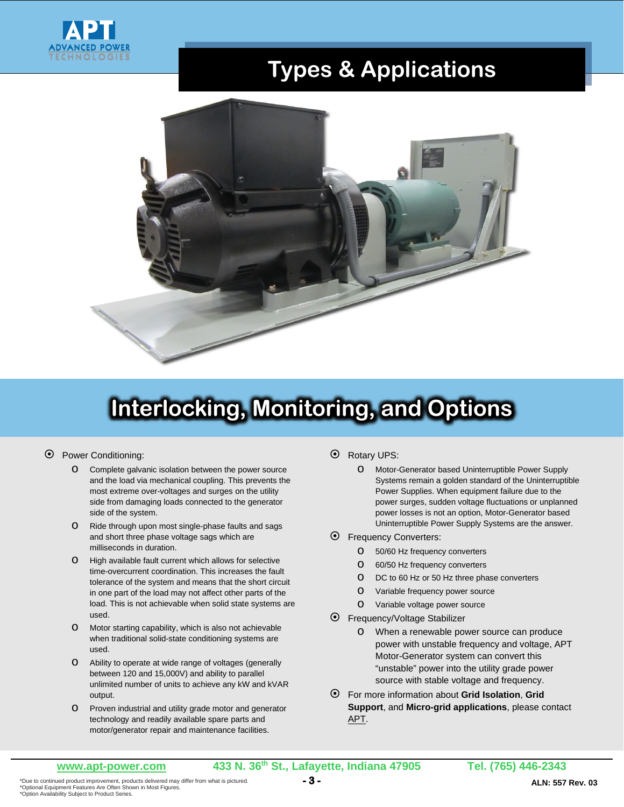

## **Types & Applications**



# **Interlocking, Monitoring, and Options**

#### Power Conditioning:

- o Complete galvanic isolation between the power source and the load via mechanical coupling. This prevents the most extreme over-voltages and surges on the utility side from damaging loads connected to the generator side of the system.
- o Ride through upon most single-phase faults and sags and short three phase voltage sags which are milliseconds in duration.
- o High available fault current which allows for selective time-overcurrent coordination. This increases the fault tolerance of the system and means that the short circuit in one part of the load may not affect other parts of the load. This is not achievable when solid state systems are used.
- o Motor starting capability, which is also not achievable when traditional solid-state conditioning systems are used.
- o Ability to operate at wide range of voltages (generally between 120 and 15,000V) and ability to parallel unlimited number of units to achieve any kW and kVAR output.
- o Proven industrial and utility grade motor and generator technology and readily available spare parts and motor/generator repair and maintenance facilities.
- Rotary UPS:
	- o Motor-Generator based Uninterruptible Power Supply Systems remain a golden standard of the Uninterruptible Power Supplies. When equipment failure due to the power surges, sudden voltage fluctuations or unplanned power losses is not an option, Motor-Generator based Uninterruptible Power Supply Systems are the answer.
- Frequency Converters:
	- o 50/60 Hz frequency converters
	- o 60/50 Hz frequency converters
	- o DC to 60 Hz or 50 Hz three phase converters
	- o Variable frequency power source
	- o Variable voltage power source
- Frequency/Voltage Stabilizer
	- o When a renewable power source can produce power with unstable frequency and voltage, APT Motor-Generator system can convert this "unstable" power into the utility grade power source with stable voltage and frequency.
- For more information about **Grid Isolation**, **Grid Support**, and **Micro-grid applications**, please contact [APT.](http://www.apt-power.com/contact-apt/)